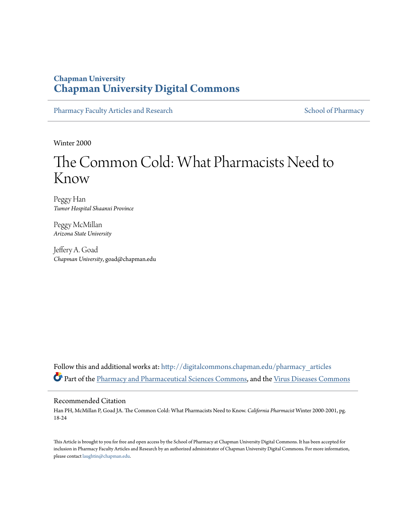### **Chapman University [Chapman University Digital Commons](http://digitalcommons.chapman.edu?utm_source=digitalcommons.chapman.edu%2Fpharmacy_articles%2F57&utm_medium=PDF&utm_campaign=PDFCoverPages)**

[Pharmacy Faculty Articles and Research](http://digitalcommons.chapman.edu/pharmacy_articles?utm_source=digitalcommons.chapman.edu%2Fpharmacy_articles%2F57&utm_medium=PDF&utm_campaign=PDFCoverPages) [School of Pharmacy](http://digitalcommons.chapman.edu/cusp?utm_source=digitalcommons.chapman.edu%2Fpharmacy_articles%2F57&utm_medium=PDF&utm_campaign=PDFCoverPages) School of Pharmacy

Winter 2000

# The Common Cold: What Pharmacists Need to Know

Peggy Han *Tumor Hospital Shaanxi Province*

Peggy McMillan *Arizona State University*

Jeffery A. Goad *Chapman University*, goad@chapman.edu

Follow this and additional works at: [http://digitalcommons.chapman.edu/pharmacy\\_articles](http://digitalcommons.chapman.edu/pharmacy_articles?utm_source=digitalcommons.chapman.edu%2Fpharmacy_articles%2F57&utm_medium=PDF&utm_campaign=PDFCoverPages) Part of the [Pharmacy and Pharmaceutical Sciences Commons](http://network.bepress.com/hgg/discipline/731?utm_source=digitalcommons.chapman.edu%2Fpharmacy_articles%2F57&utm_medium=PDF&utm_campaign=PDFCoverPages), and the [Virus Diseases Commons](http://network.bepress.com/hgg/discipline/998?utm_source=digitalcommons.chapman.edu%2Fpharmacy_articles%2F57&utm_medium=PDF&utm_campaign=PDFCoverPages)

#### Recommended Citation

Han PH, McMillan P, Goad JA. The Common Cold: What Pharmacists Need to Know. *California Pharmacist* Winter 2000-2001, pg. 18-24

This Article is brought to you for free and open access by the School of Pharmacy at Chapman University Digital Commons. It has been accepted for inclusion in Pharmacy Faculty Articles and Research by an authorized administrator of Chapman University Digital Commons. For more information, please contact [laughtin@chapman.edu.](mailto:laughtin@chapman.edu)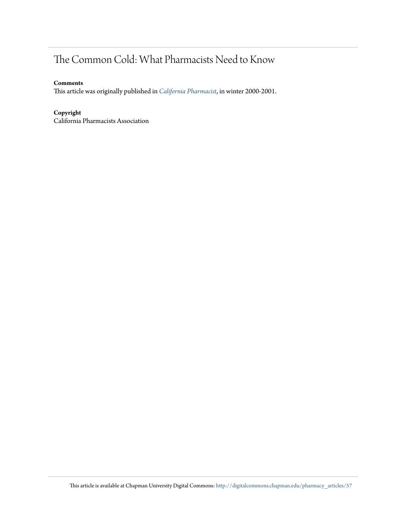# The Common Cold: What Pharmacists Need to Know

#### **Comments**

This article was originally published in *[California Pharmacist](http://www.cpha.com/Communications/California-Pharmacist-Journal)*, in winter 2000-2001.

#### **Copyright**

California Pharmacists Association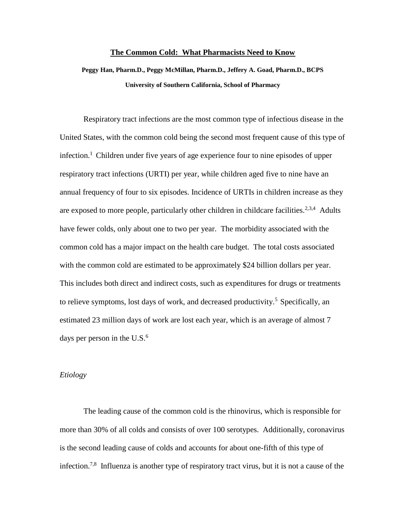#### **The Common Cold: What Pharmacists Need to Know**

**Peggy Han, Pharm.D., Peggy McMillan, Pharm.D., Jeffery A. Goad, Pharm.D., BCPS University of Southern California, School of Pharmacy**

Respiratory tract infections are the most common type of infectious disease in the United States, with the common cold being the second most frequent cause of this type of infection.<sup>1</sup> Children under five years of age experience four to nine episodes of upper respiratory tract infections (URTI) per year, while children aged five to nine have an annual frequency of four to six episodes. Incidence of URTIs in children increase as they are exposed to more people, particularly other children in childcare facilities.<sup>2,3,4</sup> Adults have fewer colds, only about one to two per year. The morbidity associated with the common cold has a major impact on the health care budget. The total costs associated with the common cold are estimated to be approximately \$24 billion dollars per year. This includes both direct and indirect costs, such as expenditures for drugs or treatments to relieve symptoms, lost days of work, and decreased productivity.<sup>5</sup> Specifically, an estimated 23 million days of work are lost each year, which is an average of almost 7 days per person in the  $U.S.^6$ 

#### *Etiology*

The leading cause of the common cold is the rhinovirus, which is responsible for more than 30% of all colds and consists of over 100 serotypes. Additionally, coronavirus is the second leading cause of colds and accounts for about one-fifth of this type of infection.7,8 Influenza is another type of respiratory tract virus, but it is not a cause of the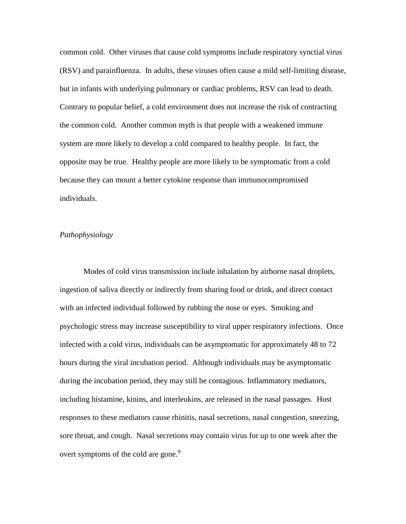common cold. Other viruses that cause cold symptoms include respiratory synctial virus (RSV) and parainfluenza. In adults, these viruses often cause a mild self-limiting disease, but in infants with underlying pulmonary or cardiac problems, RSV can lead to death. Contrary to popular belief, a cold environment does not increase the risk of contracting the common cold. Another common myth is that people with a weakened immune system are more likely to develop a cold compared to healthy people. In fact, the opposite may be true. Healthy people are more likely to be symptomatic from a cold because they can mount a better cytokine response than immunocompromised individuals.

#### *Pathophysiology*

Modes of cold virus transmission include inhalation by airborne nasal droplets, ingestion of saliva directly or indirectly from sharing food or drink, and direct contact with an infected individual followed by rubbing the nose or eyes. Smoking and psychologic stress may increase susceptibility to viral upper respiratory infections. Once infected with a cold virus, individuals can be asymptomatic for approximately 48 to 72 hours during the viral incubation period. Although individuals may be asymptomatic during the incubation period, they may still be contagious. Inflammatory mediators, including histamine, kinins, and interleukins, are released in the nasal passages. Host responses to these mediators cause rhinitis, nasal secretions, nasal congestion, sneezing, sore throat, and cough. Nasal secretions may contain virus for up to one week after the overt symptoms of the cold are gone.<sup>9</sup>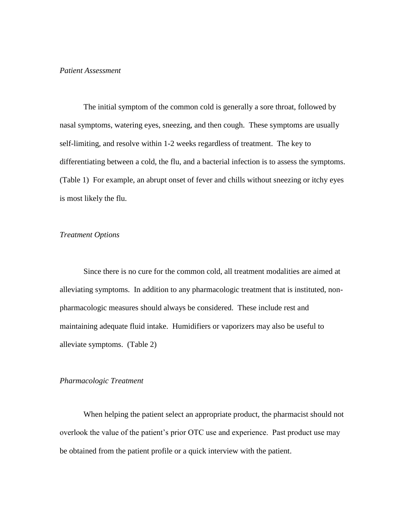#### *Patient Assessment*

The initial symptom of the common cold is generally a sore throat, followed by nasal symptoms, watering eyes, sneezing, and then cough. These symptoms are usually self-limiting, and resolve within 1-2 weeks regardless of treatment. The key to differentiating between a cold, the flu, and a bacterial infection is to assess the symptoms. (Table 1) For example, an abrupt onset of fever and chills without sneezing or itchy eyes is most likely the flu.

#### *Treatment Options*

Since there is no cure for the common cold, all treatment modalities are aimed at alleviating symptoms. In addition to any pharmacologic treatment that is instituted, nonpharmacologic measures should always be considered. These include rest and maintaining adequate fluid intake. Humidifiers or vaporizers may also be useful to alleviate symptoms. (Table 2)

#### *Pharmacologic Treatment*

When helping the patient select an appropriate product, the pharmacist should not overlook the value of the patient's prior OTC use and experience. Past product use may be obtained from the patient profile or a quick interview with the patient.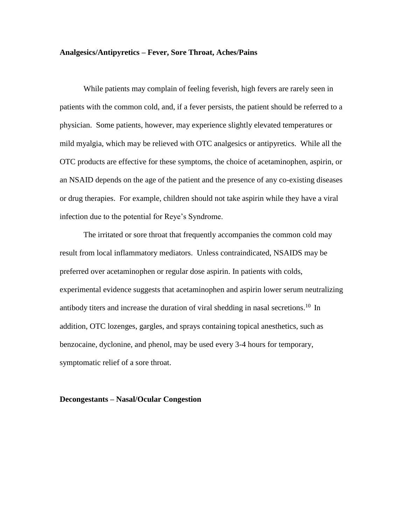#### **Analgesics/Antipyretics – Fever, Sore Throat, Aches/Pains**

While patients may complain of feeling feverish, high fevers are rarely seen in patients with the common cold, and, if a fever persists, the patient should be referred to a physician. Some patients, however, may experience slightly elevated temperatures or mild myalgia, which may be relieved with OTC analgesics or antipyretics. While all the OTC products are effective for these symptoms, the choice of acetaminophen, aspirin, or an NSAID depends on the age of the patient and the presence of any co-existing diseases or drug therapies. For example, children should not take aspirin while they have a viral infection due to the potential for Reye's Syndrome.

The irritated or sore throat that frequently accompanies the common cold may result from local inflammatory mediators. Unless contraindicated, NSAIDS may be preferred over acetaminophen or regular dose aspirin. In patients with colds, experimental evidence suggests that acetaminophen and aspirin lower serum neutralizing antibody titers and increase the duration of viral shedding in nasal secretions.<sup>10</sup> In addition, OTC lozenges, gargles, and sprays containing topical anesthetics, such as benzocaine, dyclonine, and phenol, may be used every 3-4 hours for temporary, symptomatic relief of a sore throat.

#### **Decongestants – Nasal/Ocular Congestion**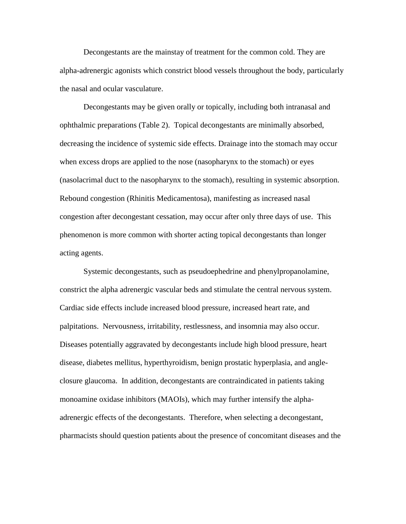Decongestants are the mainstay of treatment for the common cold. They are alpha-adrenergic agonists which constrict blood vessels throughout the body, particularly the nasal and ocular vasculature.

Decongestants may be given orally or topically, including both intranasal and ophthalmic preparations (Table 2). Topical decongestants are minimally absorbed, decreasing the incidence of systemic side effects. Drainage into the stomach may occur when excess drops are applied to the nose (nasopharynx to the stomach) or eyes (nasolacrimal duct to the nasopharynx to the stomach), resulting in systemic absorption. Rebound congestion (Rhinitis Medicamentosa), manifesting as increased nasal congestion after decongestant cessation, may occur after only three days of use. This phenomenon is more common with shorter acting topical decongestants than longer acting agents.

Systemic decongestants, such as pseudoephedrine and phenylpropanolamine, constrict the alpha adrenergic vascular beds and stimulate the central nervous system. Cardiac side effects include increased blood pressure, increased heart rate, and palpitations. Nervousness, irritability, restlessness, and insomnia may also occur. Diseases potentially aggravated by decongestants include high blood pressure, heart disease, diabetes mellitus, hyperthyroidism, benign prostatic hyperplasia, and angleclosure glaucoma. In addition, decongestants are contraindicated in patients taking monoamine oxidase inhibitors (MAOIs), which may further intensify the alphaadrenergic effects of the decongestants. Therefore, when selecting a decongestant, pharmacists should question patients about the presence of concomitant diseases and the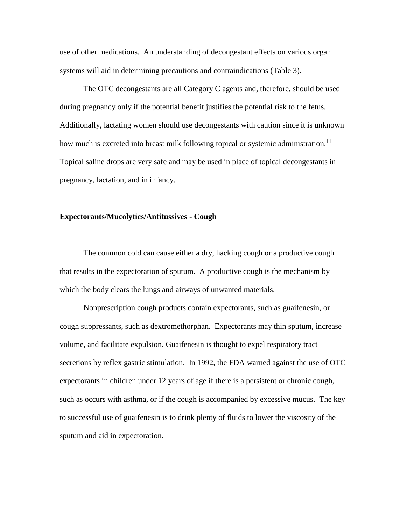use of other medications. An understanding of decongestant effects on various organ systems will aid in determining precautions and contraindications (Table 3).

The OTC decongestants are all Category C agents and, therefore, should be used during pregnancy only if the potential benefit justifies the potential risk to the fetus. Additionally, lactating women should use decongestants with caution since it is unknown how much is excreted into breast milk following topical or systemic administration.<sup>11</sup> Topical saline drops are very safe and may be used in place of topical decongestants in pregnancy, lactation, and in infancy.

#### **Expectorants/Mucolytics/Antitussives - Cough**

The common cold can cause either a dry, hacking cough or a productive cough that results in the expectoration of sputum. A productive cough is the mechanism by which the body clears the lungs and airways of unwanted materials.

Nonprescription cough products contain expectorants, such as guaifenesin, or cough suppressants, such as dextromethorphan. Expectorants may thin sputum, increase volume, and facilitate expulsion. Guaifenesin is thought to expel respiratory tract secretions by reflex gastric stimulation. In 1992, the FDA warned against the use of OTC expectorants in children under 12 years of age if there is a persistent or chronic cough, such as occurs with asthma, or if the cough is accompanied by excessive mucus. The key to successful use of guaifenesin is to drink plenty of fluids to lower the viscosity of the sputum and aid in expectoration.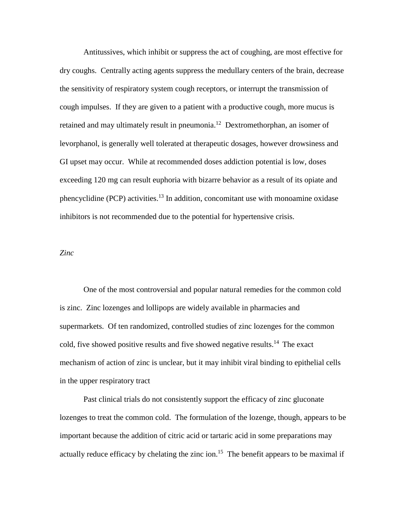Antitussives, which inhibit or suppress the act of coughing, are most effective for dry coughs. Centrally acting agents suppress the medullary centers of the brain, decrease the sensitivity of respiratory system cough receptors, or interrupt the transmission of cough impulses. If they are given to a patient with a productive cough, more mucus is retained and may ultimately result in pneumonia.<sup>12</sup> Dextromethorphan, an isomer of levorphanol, is generally well tolerated at therapeutic dosages, however drowsiness and GI upset may occur. While at recommended doses addiction potential is low, doses exceeding 120 mg can result euphoria with bizarre behavior as a result of its opiate and phencyclidine (PCP) activities.<sup>13</sup> In addition, concomitant use with monoamine oxidase inhibitors is not recommended due to the potential for hypertensive crisis.

#### *Zinc*

One of the most controversial and popular natural remedies for the common cold is zinc. Zinc lozenges and lollipops are widely available in pharmacies and supermarkets. Of ten randomized, controlled studies of zinc lozenges for the common cold, five showed positive results and five showed negative results.<sup>14</sup> The exact mechanism of action of zinc is unclear, but it may inhibit viral binding to epithelial cells in the upper respiratory tract

Past clinical trials do not consistently support the efficacy of zinc gluconate lozenges to treat the common cold. The formulation of the lozenge, though, appears to be important because the addition of citric acid or tartaric acid in some preparations may actually reduce efficacy by chelating the zinc ion.<sup>15</sup> The benefit appears to be maximal if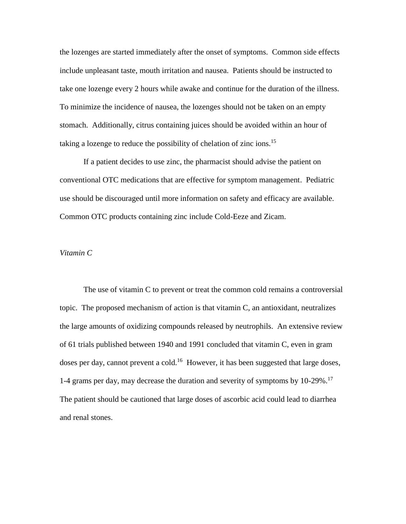the lozenges are started immediately after the onset of symptoms. Common side effects include unpleasant taste, mouth irritation and nausea. Patients should be instructed to take one lozenge every 2 hours while awake and continue for the duration of the illness. To minimize the incidence of nausea, the lozenges should not be taken on an empty stomach. Additionally, citrus containing juices should be avoided within an hour of taking a lozenge to reduce the possibility of chelation of zinc ions.<sup>15</sup>

If a patient decides to use zinc, the pharmacist should advise the patient on conventional OTC medications that are effective for symptom management. Pediatric use should be discouraged until more information on safety and efficacy are available. Common OTC products containing zinc include Cold-Eeze and Zicam.

#### *Vitamin C*

The use of vitamin C to prevent or treat the common cold remains a controversial topic. The proposed mechanism of action is that vitamin C, an antioxidant, neutralizes the large amounts of oxidizing compounds released by neutrophils. An extensive review of 61 trials published between 1940 and 1991 concluded that vitamin C, even in gram doses per day, cannot prevent a cold.<sup>16</sup> However, it has been suggested that large doses, 1-4 grams per day, may decrease the duration and severity of symptoms by 10-29%.<sup>17</sup> The patient should be cautioned that large doses of ascorbic acid could lead to diarrhea and renal stones.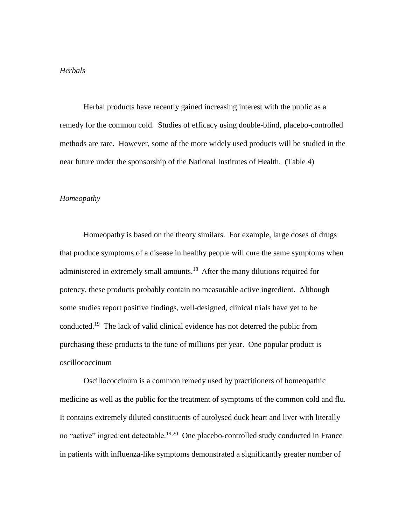#### *Herbals*

Herbal products have recently gained increasing interest with the public as a remedy for the common cold. Studies of efficacy using double-blind, placebo-controlled methods are rare. However, some of the more widely used products will be studied in the near future under the sponsorship of the National Institutes of Health. (Table 4)

#### *Homeopathy*

Homeopathy is based on the theory similars. For example, large doses of drugs that produce symptoms of a disease in healthy people will cure the same symptoms when administered in extremely small amounts.<sup>18</sup> After the many dilutions required for potency, these products probably contain no measurable active ingredient. Although some studies report positive findings, well-designed, clinical trials have yet to be conducted.<sup>19</sup> The lack of valid clinical evidence has not deterred the public from purchasing these products to the tune of millions per year. One popular product is oscillococcinum

Oscillococcinum is a common remedy used by practitioners of homeopathic medicine as well as the public for the treatment of symptoms of the common cold and flu. It contains extremely diluted constituents of autolysed duck heart and liver with literally no "active" ingredient detectable.<sup>19,20</sup> One placebo-controlled study conducted in France in patients with influenza-like symptoms demonstrated a significantly greater number of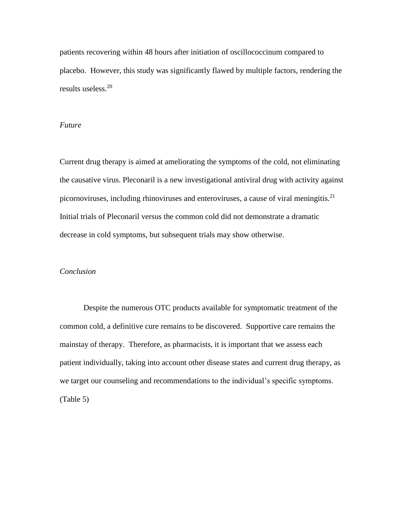patients recovering within 48 hours after initiation of oscillococcinum compared to placebo. However, this study was significantly flawed by multiple factors, rendering the results useless.<sup>20</sup>

#### *Future*

Current drug therapy is aimed at ameliorating the symptoms of the cold, not eliminating the causative virus. Pleconaril is a new investigational antiviral drug with activity against picornoviruses, including rhinoviruses and enteroviruses, a cause of viral meningitis.<sup>21</sup> Initial trials of Pleconaril versus the common cold did not demonstrate a dramatic decrease in cold symptoms, but subsequent trials may show otherwise.

#### *Conclusion*

Despite the numerous OTC products available for symptomatic treatment of the common cold, a definitive cure remains to be discovered. Supportive care remains the mainstay of therapy. Therefore, as pharmacists, it is important that we assess each patient individually, taking into account other disease states and current drug therapy, as we target our counseling and recommendations to the individual's specific symptoms. (Table 5)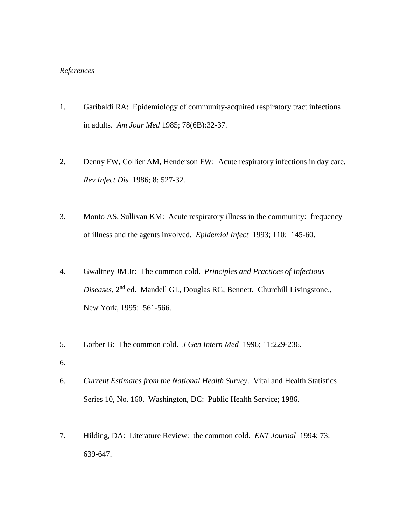#### *References*

- 1. Garibaldi RA: Epidemiology of community-acquired respiratory tract infections in adults. *Am Jour Med* 1985; 78(6B):32-37.
- 2. Denny FW, Collier AM, Henderson FW: Acute respiratory infections in day care. *Rev Infect Dis* 1986; 8: 527-32.
- 3. Monto AS, Sullivan KM: Acute respiratory illness in the community: frequency of illness and the agents involved. *Epidemiol Infect* 1993; 110: 145-60.
- 4. Gwaltney JM Jr: The common cold. *Principles and Practices of Infectious Diseases*, 2nd ed. Mandell GL, Douglas RG, Bennett. Churchill Livingstone., New York, 1995: 561-566.
- 5. Lorber B: The common cold. *J Gen Intern Med* 1996; 11:229-236.
- 6.
- 6*. Current Estimates from the National Health Survey*. Vital and Health Statistics Series 10, No. 160. Washington, DC: Public Health Service; 1986.
- 7. Hilding, DA: Literature Review: the common cold. *ENT Journal* 1994; 73: 639-647.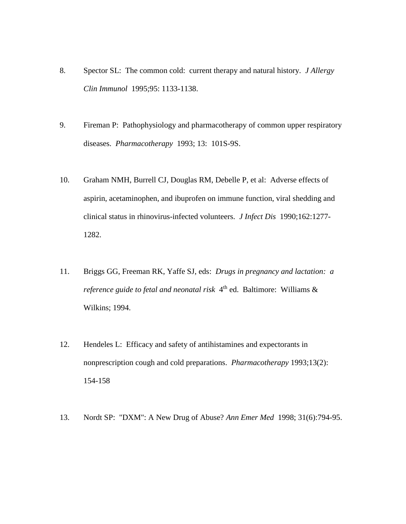- 8. Spector SL: The common cold: current therapy and natural history. *J Allergy Clin Immunol* 1995;95: 1133-1138.
- 9. Fireman P: Pathophysiology and pharmacotherapy of common upper respiratory diseases. *Pharmacotherapy* 1993; 13: 101S-9S.
- 10. Graham NMH, Burrell CJ, Douglas RM, Debelle P, et al: Adverse effects of aspirin, acetaminophen, and ibuprofen on immune function, viral shedding and clinical status in rhinovirus-infected volunteers. *J Infect Dis* 1990;162:1277- 1282.
- 11. Briggs GG, Freeman RK, Yaffe SJ, eds: *Drugs in pregnancy and lactation: a reference guide to fetal and neonatal risk* 4 th ed. Baltimore: Williams & Wilkins; 1994.
- 12. Hendeles L: Efficacy and safety of antihistamines and expectorants in nonprescription cough and cold preparations. *Pharmacotherapy* 1993;13(2): 154-158
- 13. Nordt SP: "DXM": A New Drug of Abuse? *Ann Emer Med* 1998; 31(6):794-95.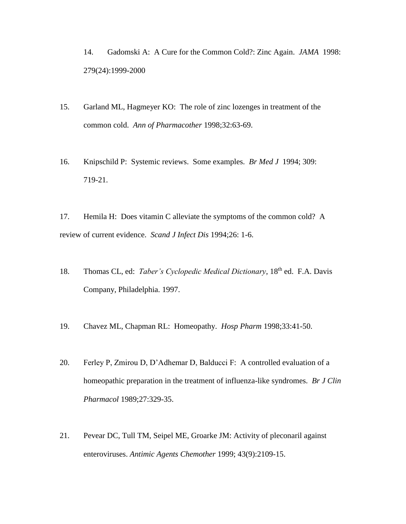14. Gadomski A: A Cure for the Common Cold?: Zinc Again. *JAMA* 1998: 279(24):1999-2000

- 15. Garland ML, Hagmeyer KO: The role of zinc lozenges in treatment of the common cold. *Ann of Pharmacother* 1998;32:63-69.
- 16. Knipschild P: Systemic reviews. Some examples. *Br Med J* 1994; 309: 719-21.

17. Hemila H: Does vitamin C alleviate the symptoms of the common cold? A review of current evidence. *Scand J Infect Dis* 1994;26: 1-6.

- 18. Thomas CL, ed: *Taber's Cyclopedic Medical Dictionary*, 18<sup>th</sup> ed. F.A. Davis Company, Philadelphia. 1997.
- 19. Chavez ML, Chapman RL: Homeopathy. *Hosp Pharm* 1998;33:41-50.
- 20. Ferley P, Zmirou D, D'Adhemar D, Balducci F: A controlled evaluation of a homeopathic preparation in the treatment of influenza-like syndromes. *Br J Clin Pharmacol* 1989;27:329-35.
- 21. Pevear DC, Tull TM, Seipel ME, Groarke JM: Activity of pleconaril against enteroviruses. *Antimic Agents Chemother* 1999; 43(9):2109-15.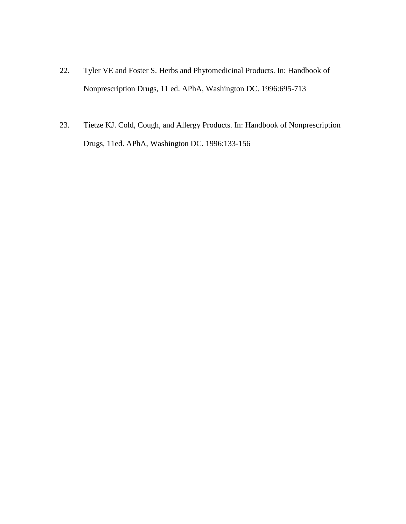- 22. Tyler VE and Foster S. Herbs and Phytomedicinal Products. In: Handbook of Nonprescription Drugs, 11 ed. APhA, Washington DC. 1996:695-713
- 23. Tietze KJ. Cold, Cough, and Allergy Products. In: Handbook of Nonprescription Drugs, 11ed. APhA, Washington DC. 1996:133-156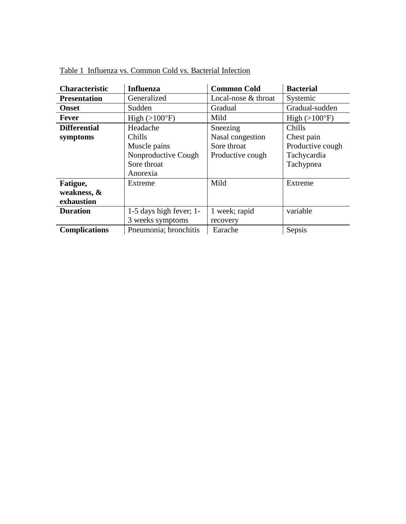| <b>Characteristic</b> | <b>Influenza</b>        | <b>Common Cold</b>  | <b>Bacterial</b>       |
|-----------------------|-------------------------|---------------------|------------------------|
| <b>Presentation</b>   | Generalized             | Local-nose & throat | Systemic               |
| <b>Onset</b>          | Sudden                  | Gradual             | Gradual-sudden         |
| <b>Fever</b>          | High $(>100^{\circ}F)$  | Mild                | High $(>100^{\circ}F)$ |
| <b>Differential</b>   | Headache                | Sneezing            | Chills                 |
| symptoms              | Chills                  | Nasal congestion    | Chest pain             |
|                       | Muscle pains            | Sore throat         | Productive cough       |
|                       | Nonproductive Cough     | Productive cough    | Tachycardia            |
|                       | Sore throat             |                     | Tachypnea              |
|                       | Anorexia                |                     |                        |
| Fatigue,              | Extreme                 | Mild                | Extreme                |
| weakness, &           |                         |                     |                        |
| exhaustion            |                         |                     |                        |
| <b>Duration</b>       | 1-5 days high fever; 1- | 1 week; rapid       | variable               |
|                       | 3 weeks symptoms        | recovery            |                        |
| <b>Complications</b>  | Pneumonia; bronchitis   | Earache             | Sepsis                 |

Table 1 Influenza vs. Common Cold vs. Bacterial Infection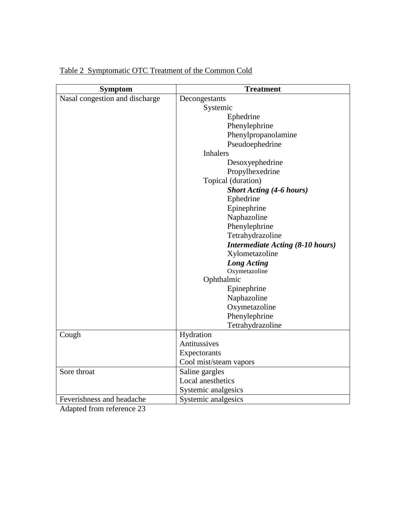| <b>Symptom</b>                                | <b>Treatment</b>                        |  |
|-----------------------------------------------|-----------------------------------------|--|
| Nasal congestion and discharge                | Decongestants                           |  |
|                                               | Systemic                                |  |
|                                               | Ephedrine                               |  |
|                                               | Phenylephrine                           |  |
|                                               | Phenylpropanolamine                     |  |
|                                               | Pseudoephedrine                         |  |
|                                               | <b>Inhalers</b>                         |  |
|                                               | Desoxyephedrine                         |  |
|                                               | Propylhexedrine                         |  |
|                                               | Topical (duration)                      |  |
|                                               | <b>Short Acting (4-6 hours)</b>         |  |
|                                               | Ephedrine                               |  |
|                                               | Epinephrine                             |  |
|                                               | Naphazoline                             |  |
|                                               | Phenylephrine                           |  |
|                                               | Tetrahydrazoline                        |  |
|                                               | <b>Intermediate Acting (8-10 hours)</b> |  |
|                                               | Xylometazoline                          |  |
|                                               | <b>Long Acting</b>                      |  |
|                                               | Oxymetazoline                           |  |
|                                               | Ophthalmic                              |  |
|                                               | Epinephrine                             |  |
|                                               | Naphazoline                             |  |
|                                               | Oxymetazoline                           |  |
|                                               | Phenylephrine                           |  |
|                                               | Tetrahydrazoline                        |  |
| Cough                                         | Hydration                               |  |
|                                               | Antitussives                            |  |
|                                               | Expectorants                            |  |
|                                               | Cool mist/steam vapors                  |  |
| Sore throat                                   | Saline gargles                          |  |
|                                               | Local anesthetics                       |  |
|                                               | Systemic analgesics                     |  |
| Feverishness and headache<br>$\sim$<br>$\sim$ | Systemic analgesics                     |  |

## Table 2 Symptomatic OTC Treatment of the Common Cold

Adapted from reference 23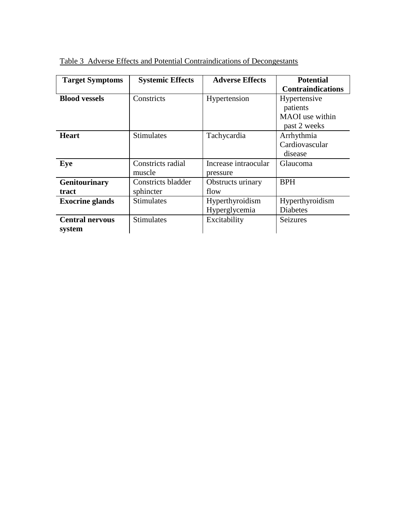| <b>Target Symptoms</b> | <b>Systemic Effects</b>     | <b>Adverse Effects</b>           | <b>Potential</b>                        |
|------------------------|-----------------------------|----------------------------------|-----------------------------------------|
|                        |                             |                                  | <b>Contraindications</b>                |
| <b>Blood vessels</b>   | Constricts                  | Hypertension                     | Hypertensive<br>patients                |
|                        |                             |                                  | MAOI use within<br>past 2 weeks         |
| <b>Heart</b>           | <b>Stimulates</b>           | Tachycardia                      | Arrhythmia<br>Cardiovascular<br>disease |
| Eye                    | Constricts radial<br>muscle | Increase intraocular<br>pressure | <b>Glaucoma</b>                         |
| Genitourinary          | Constricts bladder          | Obstructs urinary                | <b>BPH</b>                              |
| tract                  | sphincter                   | flow                             |                                         |
| <b>Exocrine glands</b> | <b>Stimulates</b>           | Hyperthyroidism                  | Hyperthyroidism                         |
|                        |                             | Hyperglycemia                    | <b>Diabetes</b>                         |
| <b>Central nervous</b> | <b>Stimulates</b>           | Excitability                     | Seizures                                |
| system                 |                             |                                  |                                         |

Table 3 Adverse Effects and Potential Contraindications of Decongestants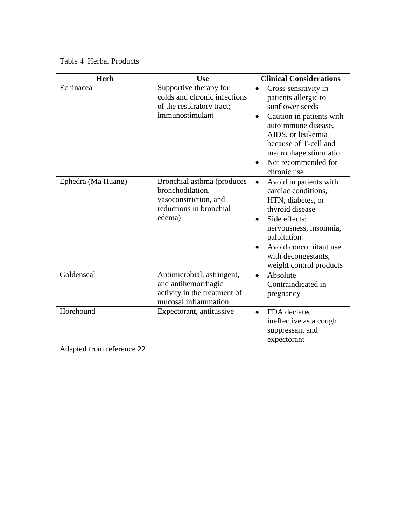Table 4 Herbal Products

| <b>Herb</b>        | <b>Use</b>                                                                                                   | <b>Clinical Considerations</b>                                                                                                                                                                                                                       |
|--------------------|--------------------------------------------------------------------------------------------------------------|------------------------------------------------------------------------------------------------------------------------------------------------------------------------------------------------------------------------------------------------------|
| Echinacea          | Supportive therapy for<br>colds and chronic infections<br>of the respiratory tract;<br>immunostimulant       | Cross sensitivity in<br>$\bullet$<br>patients allergic to<br>sunflower seeds<br>Caution in patients with<br>autoimmune disease,<br>AIDS, or leukemia<br>because of T-cell and<br>macrophage stimulation<br>Not recommended for<br>chronic use        |
| Ephedra (Ma Huang) | Bronchial asthma (produces<br>bronchodilation,<br>vasoconstriction, and<br>reductions in bronchial<br>edema) | Avoid in patients with<br>$\bullet$<br>cardiac conditions,<br>HTN, diabetes, or<br>thyroid disease<br>Side effects:<br>$\bullet$<br>nervousness, insomnia,<br>palpitation<br>Avoid concomitant use<br>with decongestants,<br>weight control products |
| Goldenseal         | Antimicrobial, astringent,<br>and antihemorrhagic<br>activity in the treatment of<br>mucosal inflammation    | Absolute<br>$\bullet$<br>Contraindicated in<br>pregnancy                                                                                                                                                                                             |
| Horehound          | Expectorant, antitussive                                                                                     | FDA declared<br>$\bullet$<br>ineffective as a cough<br>suppressant and<br>expectorant                                                                                                                                                                |

Adapted from reference 22